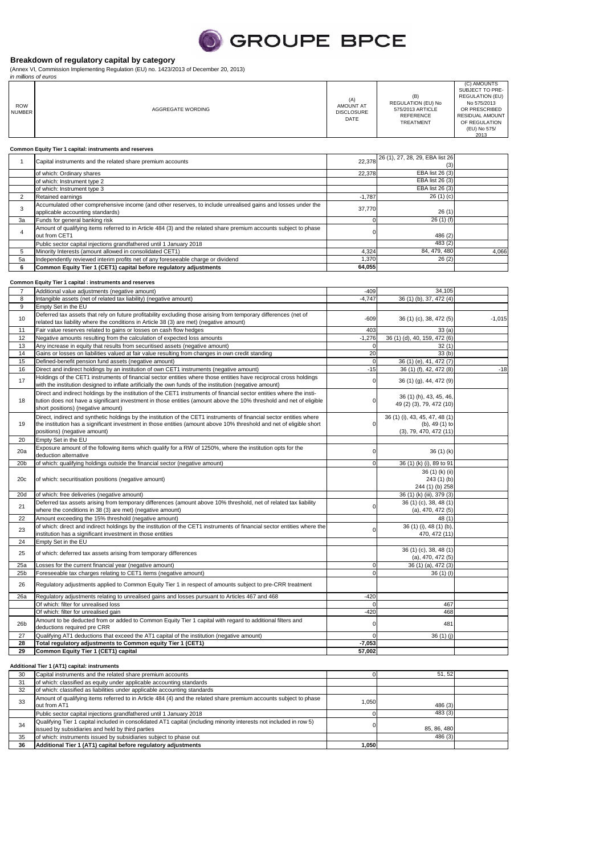

#### **Breakdown of regulatory capital by category**

(Annex VI, Commission Implementing Regulation (EU) no. 1423/2013 of December 20, 2013) in millions of euros

| <i>III IIIIIIIOHS OF GUIUS</i><br><b>ROW</b><br><b>NUMBER</b> | AGGREGATE WORDING | (A)<br>AMOUNT AT<br><b>DISCLOSURE</b><br>DATE | (B)<br>REGULATION (EU) No<br>575/2013 ARTICLE<br><b>REFERENCE</b><br>TREATMENT | (C) AMOUNTS<br>SUBJECT TO PRE-<br><b>REGULATION (EU)</b><br>No 575/2013<br>OR PRESCRIBED<br><b>RESIDUAL AMOUNT</b><br>OF REGULATION<br>(EU) No 575/<br>2013 |
|---------------------------------------------------------------|-------------------|-----------------------------------------------|--------------------------------------------------------------------------------|-------------------------------------------------------------------------------------------------------------------------------------------------------------|
| Common Equity Tier 1 capital: instruments and reserves        |                   |                                               |                                                                                |                                                                                                                                                             |

|    | Capital instruments and the related share premium accounts                                                                                       |          | 22,378 26 (1), 27, 28, 29, EBA list 26<br>(3) |       |
|----|--------------------------------------------------------------------------------------------------------------------------------------------------|----------|-----------------------------------------------|-------|
|    | of which: Ordinary shares                                                                                                                        | 22,378   | EBA list 26 (3)                               |       |
|    | of which: Instrument type 2                                                                                                                      |          | EBA list 26 (3)                               |       |
|    | of which: Instrument type 3                                                                                                                      |          | EBA list 26 (3)                               |       |
|    | Retained earnings                                                                                                                                | $-1.787$ | 26(1)(c)                                      |       |
| 3  | Accumulated other comprehensive income (and other reserves, to include unrealised gains and losses under the<br>applicable accounting standards) | 37.770   | 26(1)                                         |       |
| 3a | Funds for general banking risk                                                                                                                   |          | 26(1)(f)                                      |       |
|    | Amount of qualifying items referred to in Article 484 (3) and the related share premium accounts subject to phase<br>out from CET1               |          | 486 (2)                                       |       |
|    | Public sector capital injections grandfathered until 1 January 2018                                                                              |          | 483 (2)                                       |       |
| 5  | Minority Interests (amount allowed in consolidated CET1)                                                                                         | 4.324    | 84, 479, 480                                  | 4.066 |
| 5a | Independently reviewed interim profits net of any foreseeable charge or dividend                                                                 | 1.370    | 26(2)                                         |       |
| 6  | Common Equity Tier 1 (CET1) capital before regulatory adjustments                                                                                | 64,055   |                                               |       |

## **Common Equity Tier 1 capital : instruments and reserves**

| $\overline{7}$  | Additional value adjustments (negative amount)                                                                                                                                                                                                                                     | $-409$      | 34,105                                                                    |          |
|-----------------|------------------------------------------------------------------------------------------------------------------------------------------------------------------------------------------------------------------------------------------------------------------------------------|-------------|---------------------------------------------------------------------------|----------|
| 8               | Intangible assets (net of related tax liability) (negative amount)                                                                                                                                                                                                                 | $-4,747$    | 36 (1) (b), 37, 472 (4)                                                   |          |
| 9               | Empty Set in the EU                                                                                                                                                                                                                                                                |             |                                                                           |          |
| 10              | Deferred tax assets that rely on future profitability excluding those arising from temporary differences (net of<br>related tax liability where the conditions in Article 38 (3) are met) (negative amount)                                                                        | $-609$      | 36 (1) (c), 38, 472 (5)                                                   | $-1,015$ |
| 11              | Fair value reserves related to gains or losses on cash flow hedges                                                                                                                                                                                                                 | 403         | 33(a)                                                                     |          |
| 12              | Negative amounts resulting from the calculation of expected loss amounts                                                                                                                                                                                                           | $-1.276$    | 36 (1) (d), 40, 159, 472 (6)                                              |          |
| 13              | Any increase in equity that results from securitised assets (negative amount)                                                                                                                                                                                                      | $\Omega$    | 32(1)                                                                     |          |
| 14              | Gains or losses on liabilities valued at fair value resulting from changes in own credit standing                                                                                                                                                                                  | 20          | 33(b)                                                                     |          |
| 15              | Defined-benefit pension fund assets (negative amount)                                                                                                                                                                                                                              | $\mathbf 0$ | 36 (1) (e), 41, 472 (7)                                                   |          |
| 16              | Direct and indirect holdings by an institution of own CET1 instruments (negative amount)                                                                                                                                                                                           | $-15$       | 36 (1) (f), 42, 472 (8)                                                   | $-18$    |
| 17              | Holdings of the CET1 instruments of financial sector entities where those entities have reciprocal cross holdings<br>with the institution designed to inflate artificially the own funds of the institution (negative amount)                                                      | $\mathbf 0$ | 36 (1) (g), 44, 472 (9)                                                   |          |
| 18              | Direct and indirect holdings by the institution of the CET1 instruments of financial sector entities where the insti-<br>tution does not have a significant investment in those entities (amount above the 10% threshold and net of eligible<br>short positions) (negative amount) | $\Omega$    | 36 (1) (h), 43, 45, 46,<br>49 (2) (3), 79, 472 (10)                       |          |
| 19              | Direct, indirect and synthetic holdings by the institution of the CET1 instruments of financial sector entities where<br>the institution has a significant investment in those entities (amount above 10% threshold and net of eligible short<br>positions) (negative amount)      | $\Omega$    | 36 (1) (i), 43, 45, 47, 48 (1)<br>(b), 49 (1) to<br>(3), 79, 470, 472(11) |          |
| 20              | Empty Set in the EU                                                                                                                                                                                                                                                                |             |                                                                           |          |
| 20a             | Exposure amount of the following items which qualify for a RW of 1250%, where the institution opts for the<br>deduction alternative                                                                                                                                                | $\Omega$    | 36 (1) (k)                                                                |          |
| 20 <sub>b</sub> | of which: qualifying holdings outside the financial sector (negative amount)                                                                                                                                                                                                       | $\Omega$    | 36 (1) (k) (i), 89 to 91                                                  |          |
| 20c             | of which: securitisation positions (negative amount)                                                                                                                                                                                                                               |             | 36 (1) (k) (ii)<br>243 (1) (b)<br>244 (1) (b) 258                         |          |
| 20d             | of which: free deliveries (negative amount)                                                                                                                                                                                                                                        |             | 36 (1) (k) (iii), 379 (3)                                                 |          |
| 21              | Deferred tax assets arising from temporary differences (amount above 10% threshold, net of related tax liability<br>where the conditions in 38 (3) are met) (negative amount)                                                                                                      | $\Omega$    | 36 (1) (c), 38, 48 (1)<br>$(a)$ , 470, 472 $(5)$                          |          |
| 22              | Amount exceeding the 15% threshold (negative amount)                                                                                                                                                                                                                               |             | 48 (1)                                                                    |          |
| 23              | of which: direct and indirect holdings by the institution of the CET1 instruments of financial sector entities where the<br>institution has a significant investment in those entities                                                                                             | $\Omega$    | 36 (1) (i), 48 (1) (b),<br>470, 472 (11)                                  |          |
| 24              | Empty Set in the EU                                                                                                                                                                                                                                                                |             |                                                                           |          |
| 25              | of which: deferred tax assets arising from temporary differences                                                                                                                                                                                                                   |             | 36 (1) (c), 38, 48 (1)<br>(a), 470, 472(5)                                |          |
| 25a             | Losses for the current financial year (negative amount)                                                                                                                                                                                                                            | $\Omega$    | 36 (1) (a), 472 (3)                                                       |          |
| 25 <sub>b</sub> | Foreseeable tax charges relating to CET1 items (negative amount)                                                                                                                                                                                                                   | $\Omega$    | 36(1)(1)                                                                  |          |
| 26              | Requlatory adjustments applied to Common Equity Tier 1 in respect of amounts subject to pre-CRR treatment                                                                                                                                                                          |             |                                                                           |          |
| 26a             | Requlatory adjustments relating to unrealised gains and losses pursuant to Articles 467 and 468                                                                                                                                                                                    | $-420$      |                                                                           |          |
|                 | Of which: filter for unrealised loss                                                                                                                                                                                                                                               | $\Omega$    | 467                                                                       |          |
|                 | Of which: filter for unrealised gain                                                                                                                                                                                                                                               | $-420$      | 468                                                                       |          |
| 26 <sub>b</sub> | Amount to be deducted from or added to Common Equity Tier 1 capital with regard to additional filters and<br>deductions required pre CRR                                                                                                                                           | $\Omega$    | 481                                                                       |          |
| 27              | Qualifying AT1 deductions that exceed the AT1 capital of the institution (negative amount)                                                                                                                                                                                         | $\Omega$    | 36(1)(i)                                                                  |          |
| 28              | Total regulatory adjustments to Common equity Tier 1 (CET1)                                                                                                                                                                                                                        | $-7,053$    |                                                                           |          |
| 29              | Common Equity Tier 1 (CET1) capital                                                                                                                                                                                                                                                | 57,002      |                                                                           |          |

### **Additional Tier 1 (AT1) capital: instruments**

|    | Additional Tier 1 (AT1) capital: instruments                                                                                                                            |       |             |  |
|----|-------------------------------------------------------------------------------------------------------------------------------------------------------------------------|-------|-------------|--|
| 30 | Capital instruments and the related share premium accounts                                                                                                              |       | 51.52       |  |
| 31 | of which: classified as equity under applicable accounting standards                                                                                                    |       |             |  |
| 32 | of which: classified as liabilities under applicable accounting standards                                                                                               |       |             |  |
| 33 | Amount of qualifying items referred to in Article 484 (4) and the related share premium accounts subject to phase<br>out from AT1                                       | 1,050 | 486 (3)     |  |
|    | Public sector capital injections grandfathered until 1 January 2018                                                                                                     |       | 483(3)      |  |
| 34 | Qualifying Tier 1 capital included in consolidated AT1 capital (including minority interests not included in row 5)<br>issued by subsidiaries and held by third parties |       | 85, 86, 480 |  |
| 35 | of which: instruments issued by subsidiaries subject to phase out                                                                                                       |       | 486 (3)     |  |
| 36 | Additional Tier 1 (AT1) capital before regulatory adjustments                                                                                                           | 1,050 |             |  |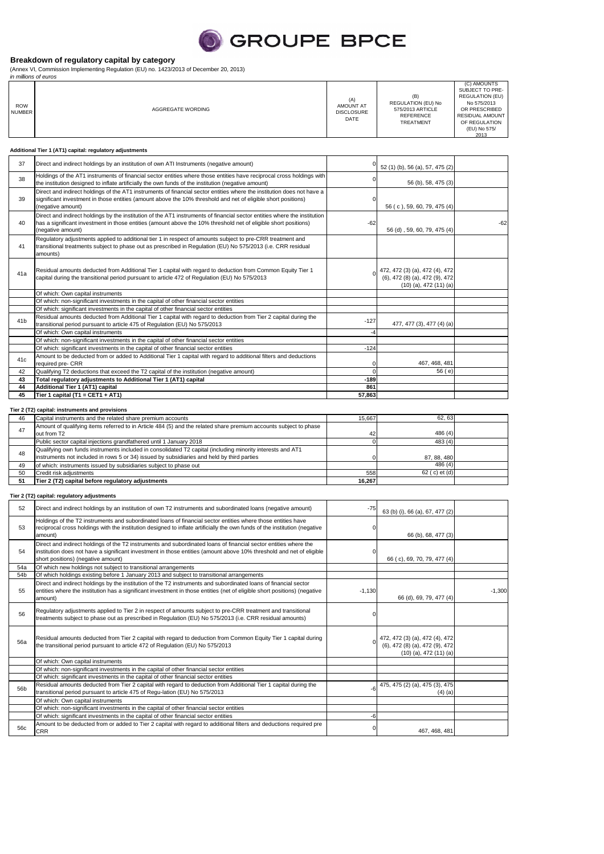

#### **Breakdown of regulatory capital by category**

(Annex VI, Commission Implementing Regulation (EU) no. 1423/2013 of December 20, 2013) in millions of euros

|                             | in millions of euros                                    |                                               |                                                                         |                                                                                                                                                             |  |
|-----------------------------|---------------------------------------------------------|-----------------------------------------------|-------------------------------------------------------------------------|-------------------------------------------------------------------------------------------------------------------------------------------------------------|--|
| <b>ROW</b><br><b>NUMBER</b> | AGGREGATE WORDING                                       | (A)<br>AMOUNT AT<br><b>DISCLOSURE</b><br>DATE | (B)<br>REGULATION (EU) No<br>575/2013 ARTICLE<br>REFERENCE<br>TREATMENT | (C) AMOUNTS<br>SUBJECT TO PRE-<br><b>REGULATION (EU)</b><br>No 575/2013<br>OR PRESCRIBED<br><b>RESIDUAL AMOUNT</b><br>OF REGULATION<br>(EU) No 575/<br>2013 |  |
|                             | Additional Tier 1 (AT1) capital: regulatory adjustments |                                               |                                                                         |                                                                                                                                                             |  |

| 37              | Direct and indirect holdings by an institution of own ATI Instruments (negative amount)                                                                                                                                                                           |        | 52 (1) (b), 56 (a), 57, 475 (2)                                                                |       |
|-----------------|-------------------------------------------------------------------------------------------------------------------------------------------------------------------------------------------------------------------------------------------------------------------|--------|------------------------------------------------------------------------------------------------|-------|
| 38              | Holdings of the AT1 instruments of financial sector entities where those entities have reciprocal cross holdings with<br>the institution designed to inflate artificially the own funds of the institution (negative amount)                                      |        | 56 (b), 58, 475 (3)                                                                            |       |
| 39              | Direct and indirect holdings of the AT1 instruments of financial sector entities where the institution does not have a<br>significant investment in those entities (amount above the 10% threshold and net of eligible short positions)<br>(negative amount)      |        | 56 (c), 59, 60, 79, 475 (4)                                                                    |       |
| 40              | Direct and indirect holdings by the institution of the AT1 instruments of financial sector entities where the institution<br>has a significant investment in those entities (amount above the 10% threshold net of eligible short positions)<br>(negative amount) | $-62$  | 56 (d), 59, 60, 79, 475 (4)                                                                    | $-62$ |
| 41              | Requlatory adjustments applied to additional tier 1 in respect of amounts subject to pre-CRR treatment and<br>transitional treatments subject to phase out as prescribed in Regulation (EU) No 575/2013 (i.e. CRR residual<br>amounts)                            |        |                                                                                                |       |
| 41a             | Residual amounts deducted from Additional Tier 1 capital with regard to deduction from Common Equity Tier 1<br>capital during the transitional period pursuant to article 472 of Regulation (EU) No 575/2013                                                      |        | 472, 472 (3) (a), 472 (4), 472<br>(6), 472 (8) (a), 472 (9), 472<br>$(10)$ (a), 472 $(11)$ (a) |       |
|                 | Of which: Own capital instruments                                                                                                                                                                                                                                 |        |                                                                                                |       |
|                 | Of which: non-significant investments in the capital of other financial sector entities                                                                                                                                                                           |        |                                                                                                |       |
|                 | Of which: significant investments in the capital of other financial sector entities                                                                                                                                                                               |        |                                                                                                |       |
| 41 <sub>b</sub> | Residual amounts deducted from Additional Tier 1 capital with regard to deduction from Tier 2 capital during the<br>transitional period pursuant to article 475 of Regulation (EU) No 575/2013                                                                    | $-127$ | 477, 477 (3), 477 (4) (a)                                                                      |       |
|                 | Of which: Own capital instruments                                                                                                                                                                                                                                 | $-4$   |                                                                                                |       |
|                 | Of which: non-significant investments in the capital of other financial sector entities                                                                                                                                                                           |        |                                                                                                |       |
|                 | Of which: significant investments in the capital of other financial sector entities                                                                                                                                                                               | $-124$ |                                                                                                |       |
| 41c             | Amount to be deducted from or added to Additional Tier 1 capital with regard to additional filters and deductions<br>required pre- CRR                                                                                                                            |        | 467, 468, 481                                                                                  |       |
| 42              | Qualifying T2 deductions that exceed the T2 capital of the institution (negative amount)                                                                                                                                                                          |        | 56(e)                                                                                          |       |
| 43              | Total regulatory adjustments to Additional Tier 1 (AT1) capital                                                                                                                                                                                                   | $-189$ |                                                                                                |       |
| 44              | Additional Tier 1 (AT1) capital                                                                                                                                                                                                                                   | 861    |                                                                                                |       |
| 45              | Tier 1 capital (T1 = CET1 + AT1)                                                                                                                                                                                                                                  | 57,863 |                                                                                                |       |

## **Tier 2 (T2) capital: instruments and provisions**

| 46 | Capital instruments and the related share premium accounts                                                                       | 15.667 | 62.63         |  |
|----|----------------------------------------------------------------------------------------------------------------------------------|--------|---------------|--|
|    | Amount of qualifying items referred to in Article 484 (5) and the related share premium accounts subject to phase<br>out from T2 | 42     | 486 (4)       |  |
|    | Public sector capital injections grandfathered until 1 January 2018                                                              |        | 483(4)        |  |
|    | Qualifying own funds instruments included in consolidated T2 capital (including minority interests and AT1                       |        |               |  |
| 48 | instruments not included in rows 5 or 34) issued by subsidiaries and held by third parties                                       |        | 87, 88, 480   |  |
| 49 | of which: instruments issued by subsidiaries subject to phase out                                                                |        | 486(4)        |  |
| 50 | Credit risk adjustments                                                                                                          | 558    | 62 (c) et (d) |  |
| 51 | Tier 2 (T2) capital before regulatory adjustments                                                                                | 16.267 |               |  |

# **Tier 2 (T2) capital: regulatory adjustments**

| 52              | Direct and indirect holdings by an institution of own T2 instruments and subordinated loans (negative amount)                                                                                                                                                                  | $-75$    | 63 (b) (i), 66 (a), 67, 477 (2)                                                                  |          |
|-----------------|--------------------------------------------------------------------------------------------------------------------------------------------------------------------------------------------------------------------------------------------------------------------------------|----------|--------------------------------------------------------------------------------------------------|----------|
| 53              | Holdings of the T2 instruments and subordinated loans of financial sector entities where those entities have<br>reciprocal cross holdings with the institution designed to inflate artificially the own funds of the institution (negative<br>amount)                          |          | 66 (b), 68, 477 (3)                                                                              |          |
| 54              | Direct and indirect holdings of the T2 instruments and subordinated loans of financial sector entities where the<br>institution does not have a significant investment in those entities (amount above 10% threshold and net of eligible<br>short positions) (negative amount) |          | 66 (c), 69, 70, 79, 477 (4)                                                                      |          |
| 54a             | Of which new holdings not subject to transitional arrangements                                                                                                                                                                                                                 |          |                                                                                                  |          |
| 54b             | Of which holdings existing before 1 January 2013 and subject to transitional arrangements                                                                                                                                                                                      |          |                                                                                                  |          |
| 55              | Direct and indirect holdings by the institution of the T2 instruments and subordinated loans of financial sector<br>entities where the institution has a significant investment in those entities (net of eligible short positions) (negative<br>amount)                       | $-1,130$ | 66 (d), 69, 79, 477 (4)                                                                          | $-1.300$ |
| 56              | Requlatory adjustments applied to Tier 2 in respect of amounts subject to pre-CRR treatment and transitional<br>treatments subject to phase out as prescribed in Regulation (EU) No 575/2013 (i.e. CRR residual amounts)                                                       |          |                                                                                                  |          |
| 56a             | Residual amounts deducted from Tier 2 capital with regard to deduction from Common Equity Tier 1 capital during<br>the transitional period pursuant to article 472 of Regulation (EU) No 575/2013                                                                              |          | 0 472, 472 (3) (a), 472 (4), 472<br>(6), 472 (8) (a), 472 (9), 472<br>$(10)$ (a), 472 $(11)$ (a) |          |
|                 | Of which: Own capital instruments                                                                                                                                                                                                                                              |          |                                                                                                  |          |
|                 | Of which: non-significant investments in the capital of other financial sector entities                                                                                                                                                                                        |          |                                                                                                  |          |
|                 | Of which: significant investments in the capital of other financial sector entities                                                                                                                                                                                            |          |                                                                                                  |          |
| 56 <sub>b</sub> | Residual amounts deducted from Tier 2 capital with regard to deduction from Additional Tier 1 capital during the<br>transitional period pursuant to article 475 of Regu-lation (EU) No 575/2013                                                                                | -6       | 475, 475 (2) (a), 475 (3), 475<br>$(4)$ (a)                                                      |          |
|                 | Of which: Own capital instruments                                                                                                                                                                                                                                              |          |                                                                                                  |          |
|                 | Of which: non-significant investments in the capital of other financial sector entities                                                                                                                                                                                        |          |                                                                                                  |          |
|                 | Of which: significant investments in the capital of other financial sector entities                                                                                                                                                                                            | -6       |                                                                                                  |          |
| 56c             | Amount to be deducted from or added to Tier 2 capital with regard to additional filters and deductions required pre<br><b>CRR</b>                                                                                                                                              |          | 467, 468, 481                                                                                    |          |